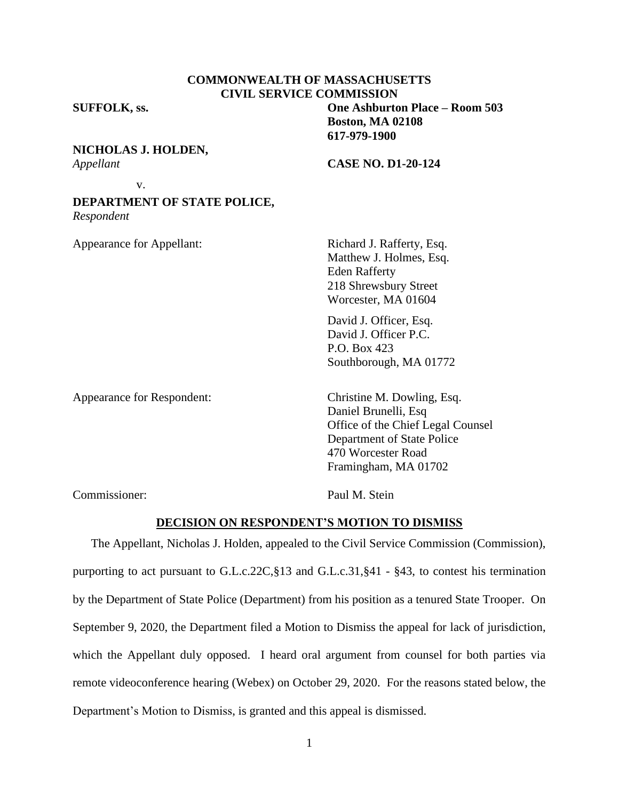| <b>COMMONWEALTH OF MASSACHUSETTS</b> |
|--------------------------------------|
| <b>CIVIL SERVICE COMMISSION</b>      |

**SUFFOLK, ss. One Ashburton Place – Room 503**

## **NICHOLAS J. HOLDEN,**

v.

*Appellant* **CASE NO. D1-20-124**

**Boston, MA 02108 617-979-1900**

# **DEPARTMENT OF STATE POLICE,**

*Respondent*

Appearance for Appellant: Richard J. Rafferty, Esq.

Matthew J. Holmes, Esq. Eden Rafferty 218 Shrewsbury Street Worcester, MA 01604

David J. Officer, Esq. David J. Officer P.C. P.O. Box 423 Southborough, MA 01772

Appearance for Respondent: Christine M. Dowling, Esq.

Daniel Brunelli, Esq Office of the Chief Legal Counsel Department of State Police 470 Worcester Road Framingham, MA 01702

Commissioner: Paul M. Stein

## **DECISION ON RESPONDENT'S MOTION TO DISMISS**

The Appellant, Nicholas J. Holden, appealed to the Civil Service Commission (Commission), purporting to act pursuant to G.L.c.22C,§13 and G.L.c.31,§41 - §43, to contest his termination by the Department of State Police (Department) from his position as a tenured State Trooper. On September 9, 2020, the Department filed a Motion to Dismiss the appeal for lack of jurisdiction, which the Appellant duly opposed. I heard oral argument from counsel for both parties via remote videoconference hearing (Webex) on October 29, 2020. For the reasons stated below, the Department's Motion to Dismiss, is granted and this appeal is dismissed.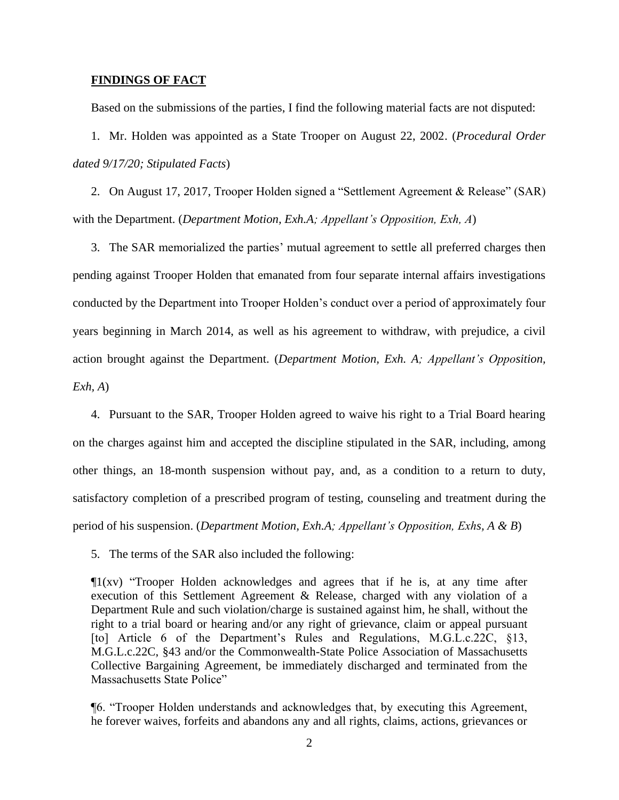### **FINDINGS OF FACT**

Based on the submissions of the parties, I find the following material facts are not disputed:

1. Mr. Holden was appointed as a State Trooper on August 22, 2002. (*Procedural Order dated 9/17/20; Stipulated Facts*)

2. On August 17, 2017, Trooper Holden signed a "Settlement Agreement & Release" (SAR) with the Department. (*Department Motion, Exh.A; Appellant's Opposition, Exh, A*)

3. The SAR memorialized the parties' mutual agreement to settle all preferred charges then pending against Trooper Holden that emanated from four separate internal affairs investigations conducted by the Department into Trooper Holden's conduct over a period of approximately four years beginning in March 2014, as well as his agreement to withdraw, with prejudice, a civil action brought against the Department. (*Department Motion, Exh. A; Appellant's Opposition, Exh, A*)

4. Pursuant to the SAR, Trooper Holden agreed to waive his right to a Trial Board hearing on the charges against him and accepted the discipline stipulated in the SAR, including, among other things, an 18-month suspension without pay, and, as a condition to a return to duty, satisfactory completion of a prescribed program of testing, counseling and treatment during the period of his suspension. (*Department Motion, Exh.A; Appellant's Opposition, Exhs, A & B*)

5. The terms of the SAR also included the following:

 $\Pi(xv)$  "Trooper Holden acknowledges and agrees that if he is, at any time after execution of this Settlement Agreement & Release, charged with any violation of a Department Rule and such violation/charge is sustained against him, he shall, without the right to a trial board or hearing and/or any right of grievance, claim or appeal pursuant [to] Article 6 of the Department's Rules and Regulations, M.G.L.c.22C, §13, M.G.L.c.22C, §43 and/or the Commonwealth-State Police Association of Massachusetts Collective Bargaining Agreement, be immediately discharged and terminated from the Massachusetts State Police"

¶6. "Trooper Holden understands and acknowledges that, by executing this Agreement, he forever waives, forfeits and abandons any and all rights, claims, actions, grievances or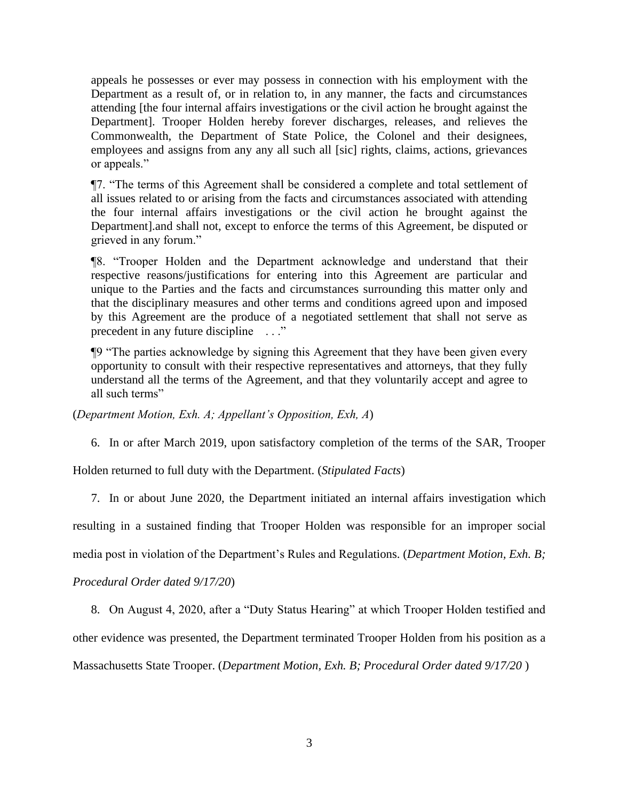appeals he possesses or ever may possess in connection with his employment with the Department as a result of, or in relation to, in any manner, the facts and circumstances attending [the four internal affairs investigations or the civil action he brought against the Department]. Trooper Holden hereby forever discharges, releases, and relieves the Commonwealth, the Department of State Police, the Colonel and their designees, employees and assigns from any any all such all [sic] rights, claims, actions, grievances or appeals."

¶7. "The terms of this Agreement shall be considered a complete and total settlement of all issues related to or arising from the facts and circumstances associated with attending the four internal affairs investigations or the civil action he brought against the Department].and shall not, except to enforce the terms of this Agreement, be disputed or grieved in any forum."

¶8. "Trooper Holden and the Department acknowledge and understand that their respective reasons/justifications for entering into this Agreement are particular and unique to the Parties and the facts and circumstances surrounding this matter only and that the disciplinary measures and other terms and conditions agreed upon and imposed by this Agreement are the produce of a negotiated settlement that shall not serve as precedent in any future discipline . . ."

¶9 "The parties acknowledge by signing this Agreement that they have been given every opportunity to consult with their respective representatives and attorneys, that they fully understand all the terms of the Agreement, and that they voluntarily accept and agree to all such terms"

(*Department Motion, Exh. A; Appellant's Opposition, Exh, A*)

6. In or after March 2019, upon satisfactory completion of the terms of the SAR, Trooper

Holden returned to full duty with the Department. (*Stipulated Facts*)

7. In or about June 2020, the Department initiated an internal affairs investigation which resulting in a sustained finding that Trooper Holden was responsible for an improper social media post in violation of the Department's Rules and Regulations. (*Department Motion, Exh. B;*

*Procedural Order dated 9/17/20*)

8. On August 4, 2020, after a "Duty Status Hearing" at which Trooper Holden testified and other evidence was presented, the Department terminated Trooper Holden from his position as a Massachusetts State Trooper. (*Department Motion, Exh. B; Procedural Order dated 9/17/20* )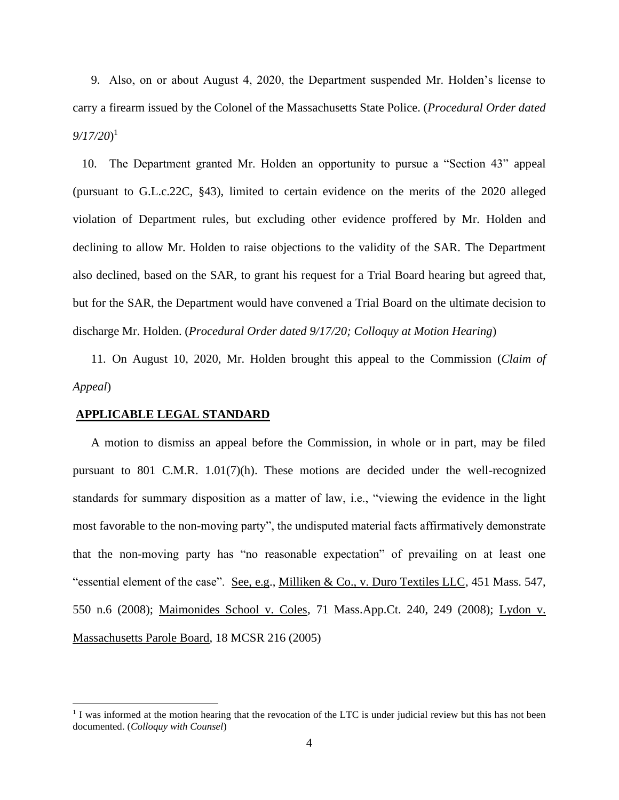9. Also, on or about August 4, 2020, the Department suspended Mr. Holden's license to carry a firearm issued by the Colonel of the Massachusetts State Police. (*Procedural Order dated 9/17/20*) 1

10. The Department granted Mr. Holden an opportunity to pursue a "Section 43" appeal (pursuant to G.L.c.22C, §43), limited to certain evidence on the merits of the 2020 alleged violation of Department rules, but excluding other evidence proffered by Mr. Holden and declining to allow Mr. Holden to raise objections to the validity of the SAR. The Department also declined, based on the SAR, to grant his request for a Trial Board hearing but agreed that, but for the SAR, the Department would have convened a Trial Board on the ultimate decision to discharge Mr. Holden. (*Procedural Order dated 9/17/20; Colloquy at Motion Hearing*)

11. On August 10, 2020, Mr. Holden brought this appeal to the Commission (*Claim of Appeal*)

#### **APPLICABLE LEGAL STANDARD**

A motion to dismiss an appeal before the Commission, in whole or in part, may be filed pursuant to 801 C.M.R. 1.01(7)(h). These motions are decided under the well-recognized standards for summary disposition as a matter of law, i.e., "viewing the evidence in the light most favorable to the non-moving party", the undisputed material facts affirmatively demonstrate that the non-moving party has "no reasonable expectation" of prevailing on at least one "essential element of the case". See, e.g., Milliken & Co., v. Duro Textiles LLC, 451 Mass. 547, 550 n.6 (2008); Maimonides School v. Coles, 71 Mass.App.Ct. 240, 249 (2008); Lydon v. Massachusetts Parole Board, 18 MCSR 216 (2005)

<sup>&</sup>lt;sup>1</sup> I was informed at the motion hearing that the revocation of the LTC is under judicial review but this has not been documented. (*Colloquy with Counsel*)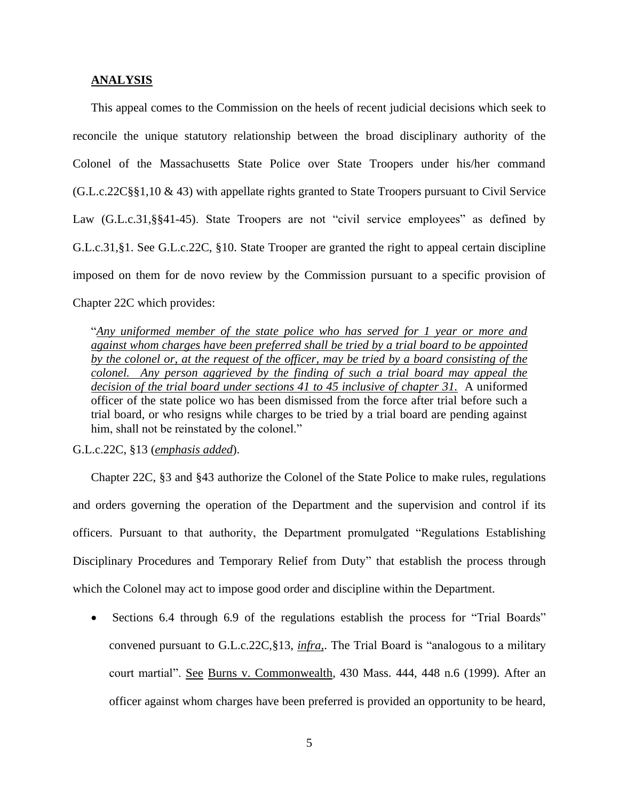## **ANALYSIS**

This appeal comes to the Commission on the heels of recent judicial decisions which seek to reconcile the unique statutory relationship between the broad disciplinary authority of the Colonel of the Massachusetts State Police over State Troopers under his/her command (G.L.c.22C§§1,10 & 43) with appellate rights granted to State Troopers pursuant to Civil Service Law (G.L.c.31, §§41-45). State Troopers are not "civil service employees" as defined by G.L.c.31,§1. See G.L.c.22C, §10. State Trooper are granted the right to appeal certain discipline imposed on them for de novo review by the Commission pursuant to a specific provision of Chapter 22C which provides:

"*Any uniformed member of the state police who has served for 1 year or more and against whom charges have been preferred shall be tried by a trial board to be appointed by the colonel or, at the request of the officer, may be tried by a board consisting of the colonel. Any person aggrieved by the finding of such a trial board may appeal the decision of the trial board under sections 41 to 45 inclusive of chapter 31.* A uniformed officer of the state police wo has been dismissed from the force after trial before such a trial board, or who resigns while charges to be tried by a trial board are pending against him, shall not be reinstated by the colonel."

G.L.c.22C, §13 (*emphasis added*).

Chapter 22C, §3 and §43 authorize the Colonel of the State Police to make rules, regulations and orders governing the operation of the Department and the supervision and control if its officers. Pursuant to that authority, the Department promulgated "Regulations Establishing Disciplinary Procedures and Temporary Relief from Duty" that establish the process through which the Colonel may act to impose good order and discipline within the Department.

• Sections 6.4 through 6.9 of the regulations establish the process for "Trial Boards" convened pursuant to G.L.c.22C,§13, *infra,*. The Trial Board is "analogous to a military court martial". See Burns v. Commonwealth, 430 Mass. 444, 448 n.6 (1999). After an officer against whom charges have been preferred is provided an opportunity to be heard,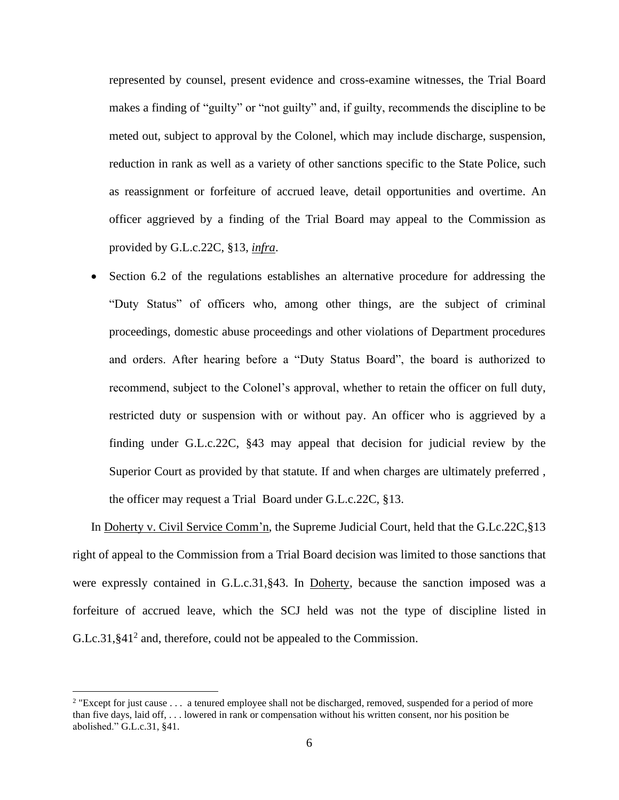represented by counsel, present evidence and cross-examine witnesses, the Trial Board makes a finding of "guilty" or "not guilty" and, if guilty, recommends the discipline to be meted out, subject to approval by the Colonel, which may include discharge, suspension, reduction in rank as well as a variety of other sanctions specific to the State Police, such as reassignment or forfeiture of accrued leave, detail opportunities and overtime. An officer aggrieved by a finding of the Trial Board may appeal to the Commission as provided by G.L.c.22C, §13, *infra*.

• Section 6.2 of the regulations establishes an alternative procedure for addressing the "Duty Status" of officers who, among other things, are the subject of criminal proceedings, domestic abuse proceedings and other violations of Department procedures and orders. After hearing before a "Duty Status Board", the board is authorized to recommend, subject to the Colonel's approval, whether to retain the officer on full duty, restricted duty or suspension with or without pay. An officer who is aggrieved by a finding under G.L.c.22C, §43 may appeal that decision for judicial review by the Superior Court as provided by that statute. If and when charges are ultimately preferred , the officer may request a Trial Board under G.L.c.22C, §13.

In Doherty v. Civil Service Comm'n, the Supreme Judicial Court, held that the G.Lc.22C, §13 right of appeal to the Commission from a Trial Board decision was limited to those sanctions that were expressly contained in G.L.c.31,§43. In Doherty, because the sanction imposed was a forfeiture of accrued leave, which the SCJ held was not the type of discipline listed in G.Lc.31, §41<sup>2</sup> and, therefore, could not be appealed to the Commission.

<sup>&</sup>lt;sup>2</sup> "Except for just cause . . . a tenured employee shall not be discharged, removed, suspended for a period of more than five days, laid off, . . . lowered in rank or compensation without his written consent, nor his position be abolished." G.L.c.31, §41.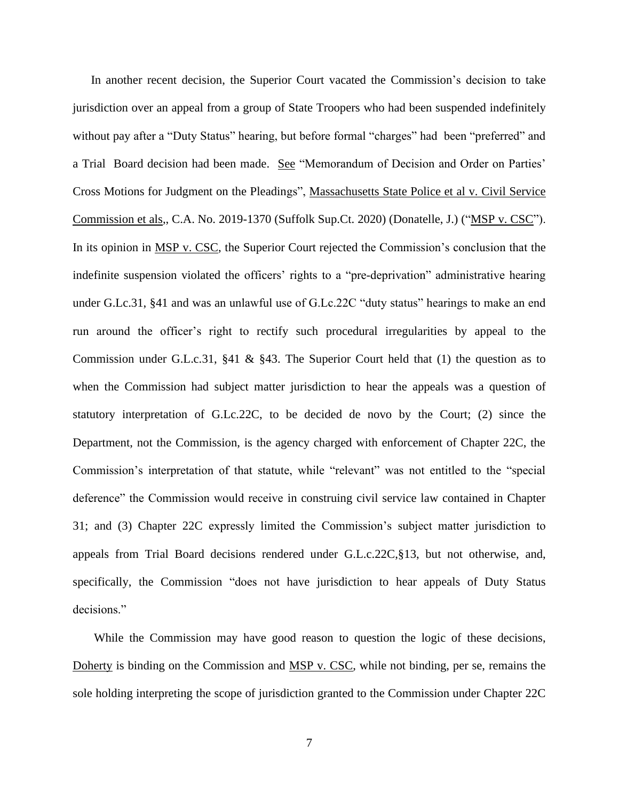In another recent decision, the Superior Court vacated the Commission's decision to take jurisdiction over an appeal from a group of State Troopers who had been suspended indefinitely without pay after a "Duty Status" hearing, but before formal "charges" had been "preferred" and a Trial Board decision had been made. See "Memorandum of Decision and Order on Parties' Cross Motions for Judgment on the Pleadings", Massachusetts State Police et al v. Civil Service Commission et als., C.A. No. 2019-1370 (Suffolk Sup.Ct. 2020) (Donatelle, J.) ("MSP v. CSC"). In its opinion in MSP v. CSC, the Superior Court rejected the Commission's conclusion that the indefinite suspension violated the officers' rights to a "pre-deprivation" administrative hearing under G.Lc.31, §41 and was an unlawful use of G.Lc.22C "duty status" hearings to make an end run around the officer's right to rectify such procedural irregularities by appeal to the Commission under G.L.c.31, §41 & §43. The Superior Court held that (1) the question as to when the Commission had subject matter jurisdiction to hear the appeals was a question of statutory interpretation of G.Lc.22C, to be decided de novo by the Court; (2) since the Department, not the Commission, is the agency charged with enforcement of Chapter 22C, the Commission's interpretation of that statute, while "relevant" was not entitled to the "special deference" the Commission would receive in construing civil service law contained in Chapter 31; and (3) Chapter 22C expressly limited the Commission's subject matter jurisdiction to appeals from Trial Board decisions rendered under G.L.c.22C,§13, but not otherwise, and, specifically, the Commission "does not have jurisdiction to hear appeals of Duty Status decisions."

While the Commission may have good reason to question the logic of these decisions, Doherty is binding on the Commission and MSP v. CSC, while not binding, per se, remains the sole holding interpreting the scope of jurisdiction granted to the Commission under Chapter 22C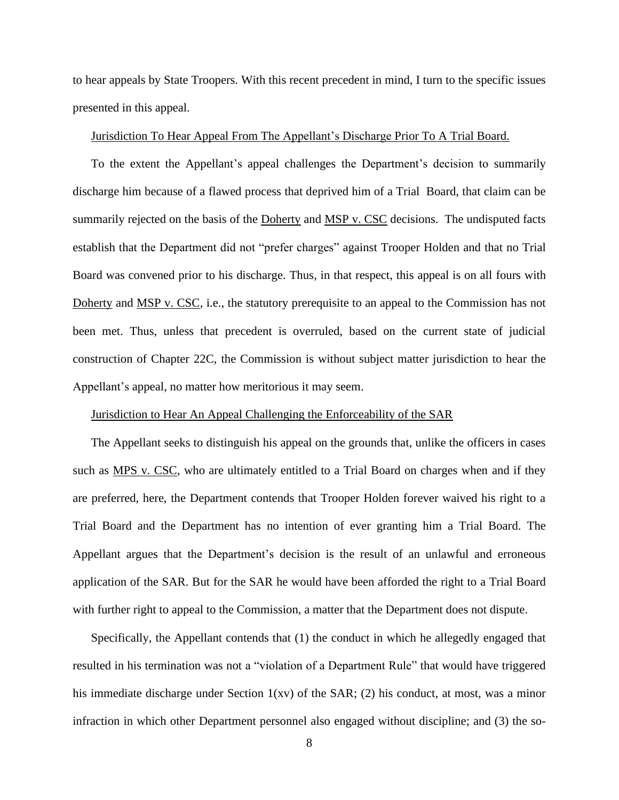to hear appeals by State Troopers. With this recent precedent in mind, I turn to the specific issues presented in this appeal.

# Jurisdiction To Hear Appeal From The Appellant's Discharge Prior To A Trial Board.

To the extent the Appellant's appeal challenges the Department's decision to summarily discharge him because of a flawed process that deprived him of a Trial Board, that claim can be summarily rejected on the basis of the Doherty and MSP v. CSC decisions. The undisputed facts establish that the Department did not "prefer charges" against Trooper Holden and that no Trial Board was convened prior to his discharge. Thus, in that respect, this appeal is on all fours with Doherty and MSP v. CSC, i.e., the statutory prerequisite to an appeal to the Commission has not been met. Thus, unless that precedent is overruled, based on the current state of judicial construction of Chapter 22C, the Commission is without subject matter jurisdiction to hear the Appellant's appeal, no matter how meritorious it may seem.

## Jurisdiction to Hear An Appeal Challenging the Enforceability of the SAR

The Appellant seeks to distinguish his appeal on the grounds that, unlike the officers in cases such as MPS v. CSC, who are ultimately entitled to a Trial Board on charges when and if they are preferred, here, the Department contends that Trooper Holden forever waived his right to a Trial Board and the Department has no intention of ever granting him a Trial Board. The Appellant argues that the Department's decision is the result of an unlawful and erroneous application of the SAR. But for the SAR he would have been afforded the right to a Trial Board with further right to appeal to the Commission, a matter that the Department does not dispute.

Specifically, the Appellant contends that (1) the conduct in which he allegedly engaged that resulted in his termination was not a "violation of a Department Rule" that would have triggered his immediate discharge under Section 1(xv) of the SAR; (2) his conduct, at most, was a minor infraction in which other Department personnel also engaged without discipline; and (3) the so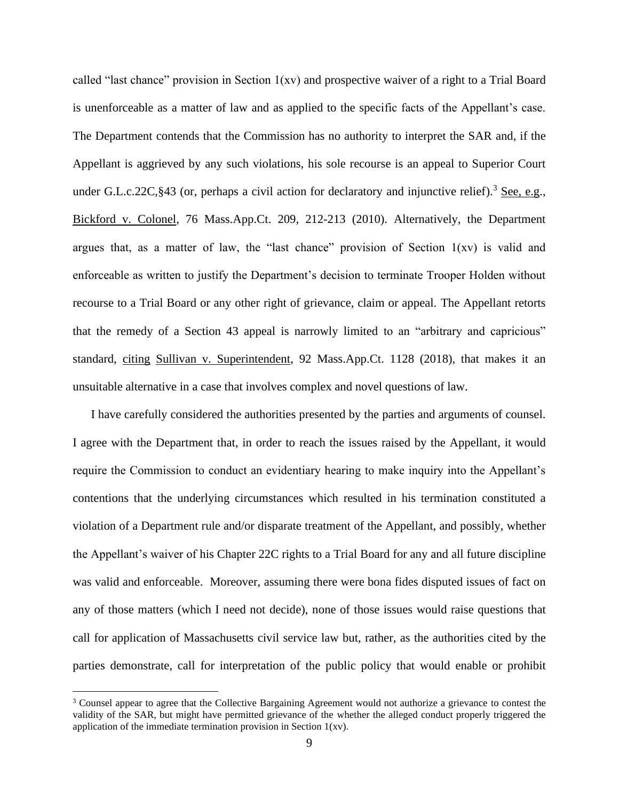called "last chance" provision in Section  $1(xv)$  and prospective waiver of a right to a Trial Board is unenforceable as a matter of law and as applied to the specific facts of the Appellant's case. The Department contends that the Commission has no authority to interpret the SAR and, if the Appellant is aggrieved by any such violations, his sole recourse is an appeal to Superior Court under G.L.c.22C, §43 (or, perhaps a civil action for declaratory and injunctive relief).<sup>3</sup> See, e.g., Bickford v. Colonel, 76 Mass.App.Ct. 209, 212-213 (2010). Alternatively, the Department argues that, as a matter of law, the "last chance" provision of Section  $1(xv)$  is valid and enforceable as written to justify the Department's decision to terminate Trooper Holden without recourse to a Trial Board or any other right of grievance, claim or appeal. The Appellant retorts that the remedy of a Section 43 appeal is narrowly limited to an "arbitrary and capricious" standard, citing Sullivan v. Superintendent, 92 Mass.App.Ct. 1128 (2018), that makes it an unsuitable alternative in a case that involves complex and novel questions of law.

I have carefully considered the authorities presented by the parties and arguments of counsel. I agree with the Department that, in order to reach the issues raised by the Appellant, it would require the Commission to conduct an evidentiary hearing to make inquiry into the Appellant's contentions that the underlying circumstances which resulted in his termination constituted a violation of a Department rule and/or disparate treatment of the Appellant, and possibly, whether the Appellant's waiver of his Chapter 22C rights to a Trial Board for any and all future discipline was valid and enforceable. Moreover, assuming there were bona fides disputed issues of fact on any of those matters (which I need not decide), none of those issues would raise questions that call for application of Massachusetts civil service law but, rather, as the authorities cited by the parties demonstrate, call for interpretation of the public policy that would enable or prohibit

<sup>&</sup>lt;sup>3</sup> Counsel appear to agree that the Collective Bargaining Agreement would not authorize a grievance to contest the validity of the SAR, but might have permitted grievance of the whether the alleged conduct properly triggered the application of the immediate termination provision in Section 1(xv).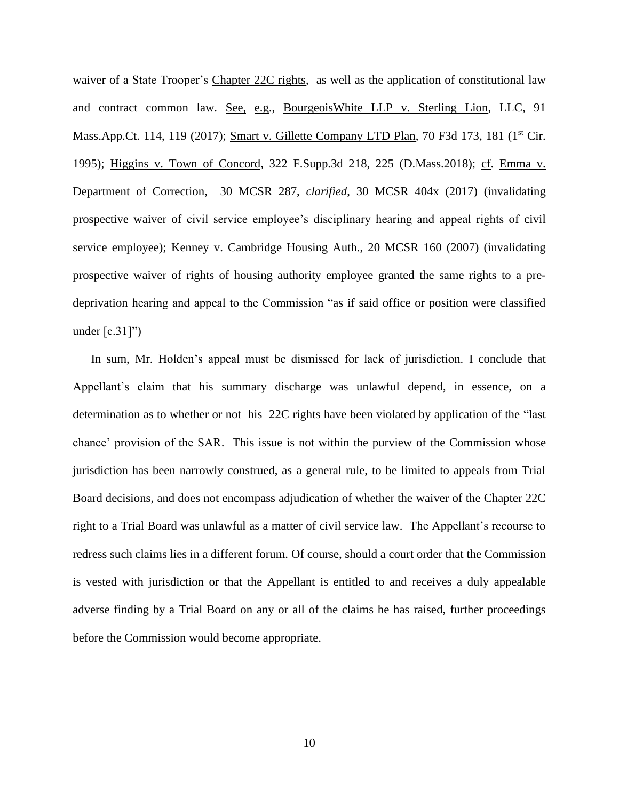waiver of a State Trooper's Chapter 22C rights, as well as the application of constitutional law and contract common law. See, e.g., BourgeoisWhite LLP v. Sterling Lion, LLC, 91 Mass.App.Ct. 114, 119 (2017); Smart v. Gillette Company LTD Plan, 70 F3d 173, 181 (1<sup>st</sup> Cir. 1995); Higgins v. Town of Concord, 322 F.Supp.3d 218, 225 (D.Mass.2018); cf. Emma v. Department of Correction, 30 MCSR 287, *clarified*, 30 MCSR 404x (2017) (invalidating prospective waiver of civil service employee's disciplinary hearing and appeal rights of civil service employee); Kenney v. Cambridge Housing Auth., 20 MCSR 160 (2007) (invalidating prospective waiver of rights of housing authority employee granted the same rights to a predeprivation hearing and appeal to the Commission "as if said office or position were classified under  $[c.31]$ ")

In sum, Mr. Holden's appeal must be dismissed for lack of jurisdiction. I conclude that Appellant's claim that his summary discharge was unlawful depend, in essence, on a determination as to whether or not his 22C rights have been violated by application of the "last" chance' provision of the SAR. This issue is not within the purview of the Commission whose jurisdiction has been narrowly construed, as a general rule, to be limited to appeals from Trial Board decisions, and does not encompass adjudication of whether the waiver of the Chapter 22C right to a Trial Board was unlawful as a matter of civil service law. The Appellant's recourse to redress such claims lies in a different forum. Of course, should a court order that the Commission is vested with jurisdiction or that the Appellant is entitled to and receives a duly appealable adverse finding by a Trial Board on any or all of the claims he has raised, further proceedings before the Commission would become appropriate.